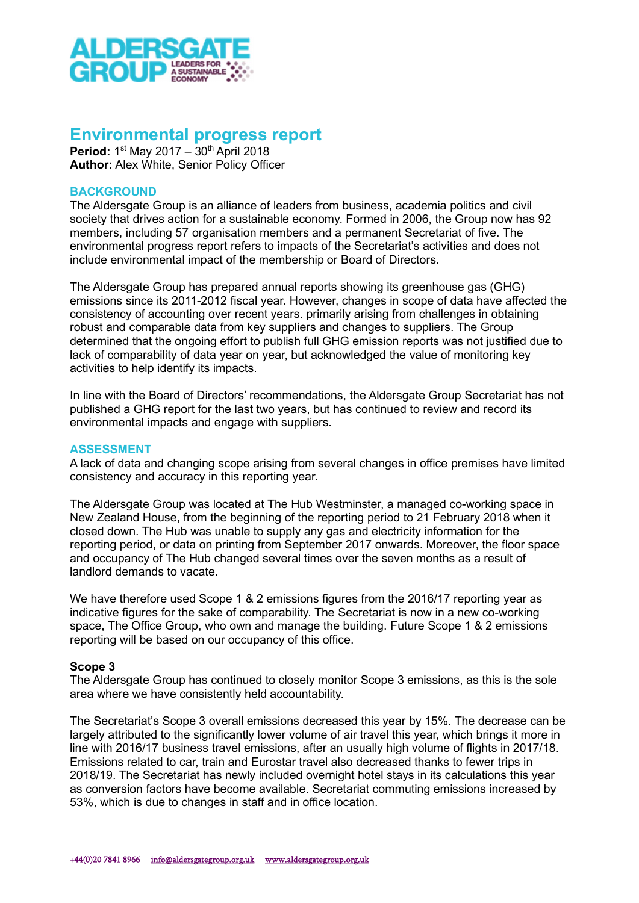

# Environmental progress report

Period: 1<sup>st</sup> May 2017 - 30<sup>th</sup> April 2018 Author: Alex White, Senior Policy Officer

## **BACKGROUND**

The Aldersgate Group is an alliance of leaders from business, academia politics and civil society that drives action for a sustainable economy. Formed in 2006, the Group now has 92 members, including 57 organisation members and a permanent Secretariat of five. The environmental progress report refers to impacts of the Secretariat's activities and does not include environmental impact of the membership or Board of Directors.

The Aldersgate Group has prepared annual reports showing its greenhouse gas (GHG) emissions since its 2011-2012 fiscal year. However, changes in scope of data have affected the consistency of accounting over recent years. primarily arising from challenges in obtaining robust and comparable data from key suppliers and changes to suppliers. The Group determined that the ongoing effort to publish full GHG emission reports was not justified due to lack of comparability of data year on year, but acknowledged the value of monitoring key activities to help identify its impacts.

In line with the Board of Directors' recommendations, the Aldersgate Group Secretariat has not published a GHG report for the last two years, but has continued to review and record its environmental impacts and engage with suppliers.

#### ASSESSMENT

A lack of data and changing scope arising from several changes in office premises have limited consistency and accuracy in this reporting year.

The Aldersgate Group was located at The Hub Westminster, a managed co-working space in New Zealand House, from the beginning of the reporting period to 21 February 2018 when it closed down. The Hub was unable to supply any gas and electricity information for the reporting period, or data on printing from September 2017 onwards. Moreover, the floor space and occupancy of The Hub changed several times over the seven months as a result of landlord demands to vacate.

We have therefore used Scope 1 & 2 emissions figures from the 2016/17 reporting year as indicative figures for the sake of comparability. The Secretariat is now in a new co-working space, The Office Group, who own and manage the building. Future Scope 1 & 2 emissions reporting will be based on our occupancy of this office.

#### Scope 3

The Aldersgate Group has continued to closely monitor Scope 3 emissions, as this is the sole area where we have consistently held accountability.

The Secretariat's Scope 3 overall emissions decreased this year by 15%. The decrease can be largely attributed to the significantly lower volume of air travel this year, which brings it more in line with 2016/17 business travel emissions, after an usually high volume of flights in 2017/18. Emissions related to car, train and Eurostar travel also decreased thanks to fewer trips in 2018/19. The Secretariat has newly included overnight hotel stays in its calculations this year as conversion factors have become available. Secretariat commuting emissions increased by 53%, which is due to changes in staff and in office location.